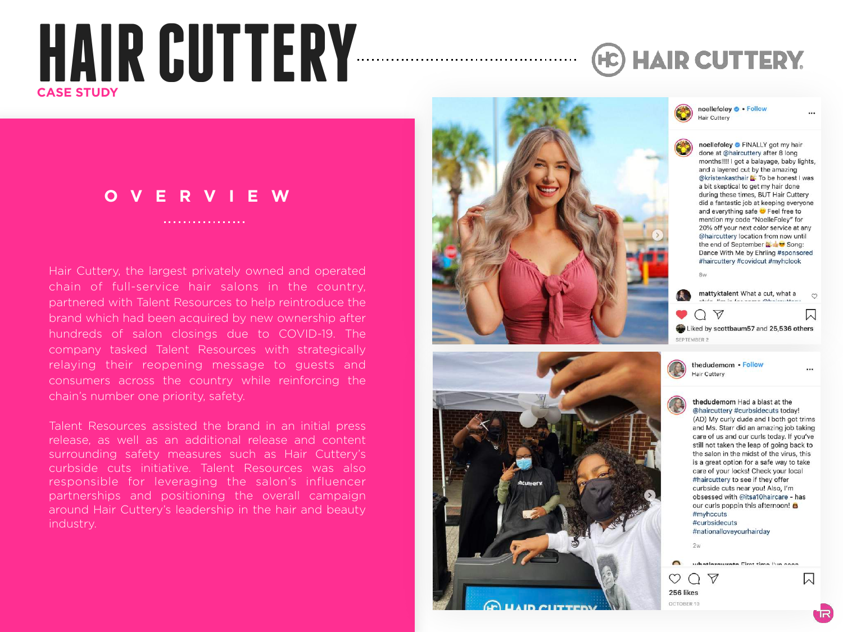# **HAIR CUTTERY CASE STUDY**

## **(HC) HAIR CUTTERY.**

## **OVERVIEW**

. . . . . . . . . . . . . . . . .

Hair Cuttery, the largest privately owned and operated chain of full-service hair salons in the country, partnered with Talent Resources to help reintroduce the brand which had been acquired by new ownership after hundreds of salon closings due to COVID-19. The company tasked Talent Resources with strategically relaying their reopening message to guests and consumers across the country while reinforcing the chain's number one priority, safety.

Talent Resources assisted the brand in an initial press release, as well as an additional release and content surrounding safety measures such as Hair Cuttery's curbside cuts initiative. Talent Resources was also responsible for leveraging the salon's influencer partnerships and positioning the overall campaign around Hair Cuttery's leadership in the hair and beauty industry.





noellefoley . Follow Hair Cuttery

> noellefoley FINALLY got my hair done at @haircuttery after 8 long months!!!! I got a balayage, baby lights, and a layered cut by the amazing @kristenkasthair & To be honest I was a bit skeptical to get my hair done during these times, BUT Hair Cuttery did a fantastic job at keeping everyone and everything safe  $\bullet$  Feel free to mention my code "NoelleFoley" for 20% off your next color service at any @haircuttery location from now until the end of September **of the Song:** Dance With Me by Ehrling #sponsored #haircuttery #covidcut #myhclook 8w

mattyktalent What a cut, what a  $\circ$ **Um in for come Obsimilian**  $OZ$ W Liked by scottbaum57 and 25,536 others SEPTEMBER 2

thedudemom . Follow Hair Cuttery

thedudemom Had a blast at the @haircuttery #curbsidecuts today! (AD) My curly dude and I both got trims and Ms. Starr did an amazing job taking care of us and our curls today. If you've still not taken the leap of going back to the salon in the midst of the virus, this is a great option for a safe way to take care of your locks! Check your local #haircuttery to see if they offer curbside cuts near you! Also, I'm obsessed with @itsa10haircare - has our curls poppin this afternoon! #myhccuts #curbsidecuts #nationalloveyourhairday  $2w$ 

whatlarowrate Firet time live coop

⊠

256 likes OCTOBER 10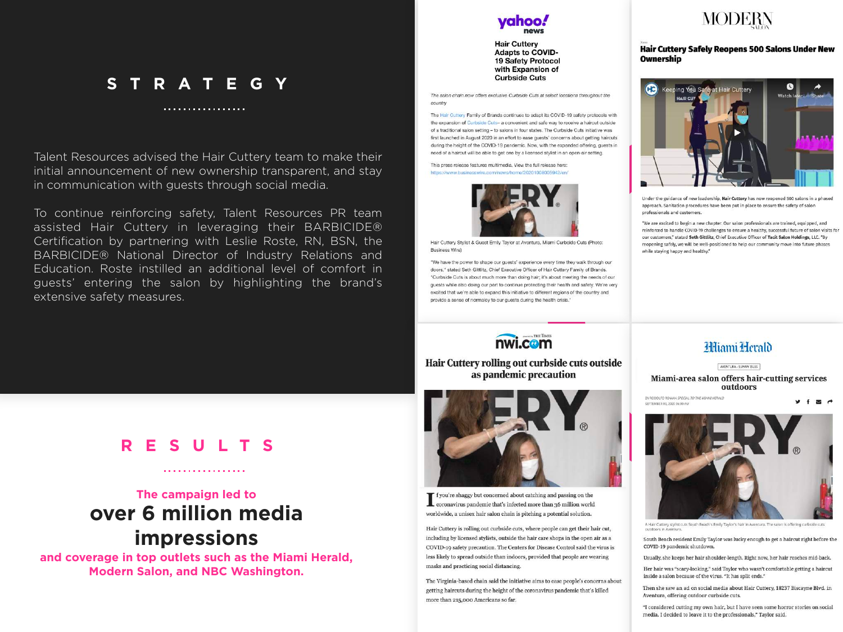## **STRATEGY**

. . . . . . . . . . . . . . . . . .

Talent Resources advised the Hair Cuttery team to make their initial announcement of new ownership transparent, and stay in communication with guests through social media.

To continue reinforcing safety, Talent Resources PR team assisted Hair Cuttery in leveraging their BARBICIDE® Certification by partnering with Leslie Roste, RN, BSN, the BARBICIDE® National Director of Industry Relations and Education. Roste instilled an additional level of comfort in guests' entering the salon by highlighting the brand's extensive safety measures.

**Hair Cuttery Adapts to COVID-**19 Safety Protocol with Expansion of **Curbside Cuts** 

The salon chain now offers exclusive Curbside Cuts at select locations throughout the country

The Hair Cuttery Family of Brands continues to adapt its COVID-19 safety protocols with the expansion of Curbside Cuts- a convenient and safe way to receive a haircut outside of a traditional salon setting - to salons in four states. The Curbside Cuts initiative was first launched in August 2020 in an effort to ease guests' concerns about getting haircuts during the height of the COVID-19 pandemic. Now, with the expanded offering, guests in need of a haircut will be able to get one by a licensed stylist in an open-air setting.

This press release features multimedia. View the full release here: https://www.businesswire.com/ in Broads /909010000000019101am



Hair Cuttery Stylist & Guest Emily Taylor at Aventura, Miami Curbside Cuts (Photo: **Business Wirel** 

"We have the power to shape our guests' experience every time they walk through our doors," stated Seth Gittlitz, Chief Executive Officer of Hair Cuttery Family of Brands, "Curbside Cuts is about much more than doing hair: it's about meeting the needs of our guests while also doing our part to continue protecting their health and safety. We're very excited that we're able to expand this initiative to different regions of the country and provide a sense of normalcy to our guests during the health crisis.

nwi.com

Hair Cuttery rolling out curbside cuts outside

as pandemic precaution

**T** f you're shaggy but concerned about catching and passing on the coronavirus pandemic that's infected more than 36 million world worldwide, a unisex hair salon chain is pitching a potential solution.

Hair Cuttery is rolling out curbside cuts, where people can get their hair cut, including by licensed stylists, outside the hair care shops in the open air as a

COVID-19 safety precaution. The Centers for Disease Control said the virus is less likely to spread outside than indoors, provided that people are wearing

The Virginia-based chain said the initiative aims to ease people's concerns about

getting haircuts during the height of the coronavirus pandemic that's killed

masks and practicing social distancing.

more than 215,000 Americans so far.



**Hair Cuttery Safely Reopens 500 Salons Under New Ownership** 



Under the guidance of new leadership, Hair Cuttery has now reopened 500 salons in a phased approach. Sanitation procedures have been put in place to ensure the safety of salon professionals and customers.

"We are excited to begin a new chapter. Our salon professionals are trained, equipped, and reinforced to handle COVID-19 challenges to ensure a healthy, successful future of salon visits for our customers," stated Seth Gittlitz, Chief Executive Officer of Tacit Salon Holdings, LLC. "By reopening safely, we will be well-positioned to help our community move into future phases while staying happy and healthy."

### Hiami Herald

AVENTURA - SUNNY ISLES Miami-area salon offers hair-cutting services outdoors

BY RODOLEO ROMAN, SPECIAL TO THE MIAMI HERALD EPTEMBER 03, 2020 06:00 AM



A Hair Cuttery stylist cuts South Beach's Emily Taylor's hair in Aventura. The salon is offering curbside cuts

South Beach resident Emily Taylor was lucky enough to get a haircut right before the COVID-19 pandemic shutdown.

Usually, she keeps her hair shoulder-length. Right now, her hair reaches mid-back.

Her hair was "scary-looking," said Taylor who wasn't comfortable getting a haircut inside a salon because of the virus. "It has split ends."

Then she saw an ad on social media about Hair Cuttery, 18237 Biscayne Blvd. in Aventura, offering outdoor curbside cuts.

"I considered cutting my own hair, but I have seen some horror stories on social media. I decided to leave it to the professionals," Taylor said.

## **RESULTS**

## **The campaign led to over 6 million media**

**impressions** 

**and coverage in top outlets such as the Miami Herald, Modern Salon, and NBC Washington.** 

 $\label{eq:reduced} \begin{split} \mathbf{u}^{\prime} & = \mathbf{u}^{\prime} + \mathbf{u}^{\prime} + \mathbf{u}^{\prime} + \mathbf{u}^{\prime} + \mathbf{u}^{\prime} + \mathbf{u}^{\prime} + \mathbf{u}^{\prime} + \mathbf{u}^{\prime} + \mathbf{u}^{\prime} \end{split}$